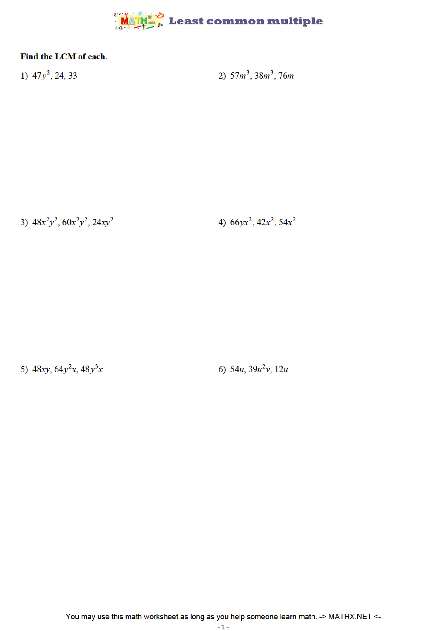

## Find the LCM of each.

1)  $47y^2$ , 24, 33

2)  $57m^3$ ,  $38m^3$ ,  $76m$ 

3)  $48x^2y^2$ ,  $60x^2y^2$ ,  $24xy^2$ 

4)  $66yx^2$ ,  $42x^2$ ,  $54x^2$ 

5)  $48xy, 64y^2x, 48y^3x$ 

6)  $54u$ ,  $39u^2v$ ,  $12u$ 

You may use this math worksheet as long as you help someone learn math. -> MATHX.NET <-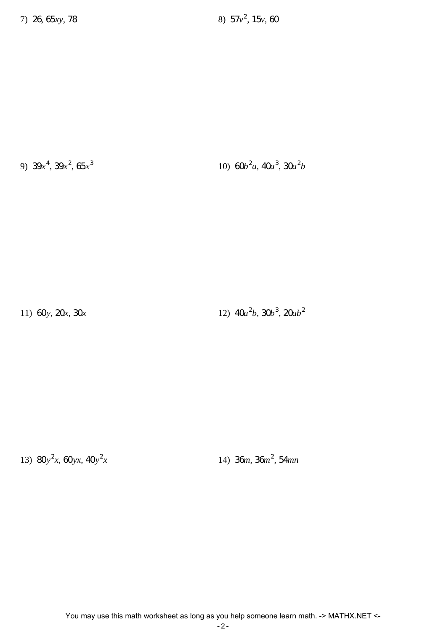9)  $39x^4$ ,  $39x^2$ ,  $65x^3$ 

10)  $60b^2a$ ,  $40a^3$ ,  $30a^2b$ 

11) 60y, 20x, 30x

12)  $40a^2b$ ,  $30b^3$ ,  $20ab^2$ 

13)  $80y^2x, 60yx, 40y^2x$ 

14) 36m, 36m<sup>2</sup>, 54mn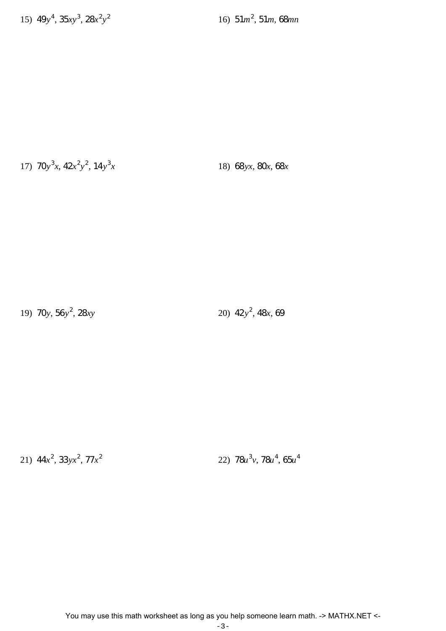16)  $51m^2$ ,  $51m$ , 68mn

17)  $70y^3x$ ,  $42x^2y^2$ ,  $14y^3x$ 

18) 68 yx, 80x, 68x

19) 70y,  $56y^2$ , 28xy

20)  $42y^2$ ,  $48x$ , 69

21)  $44x^2$ ,  $33yx^2$ ,  $77x^2$ 

22)  $78u^3v$ ,  $78u^4$ ,  $65u^4$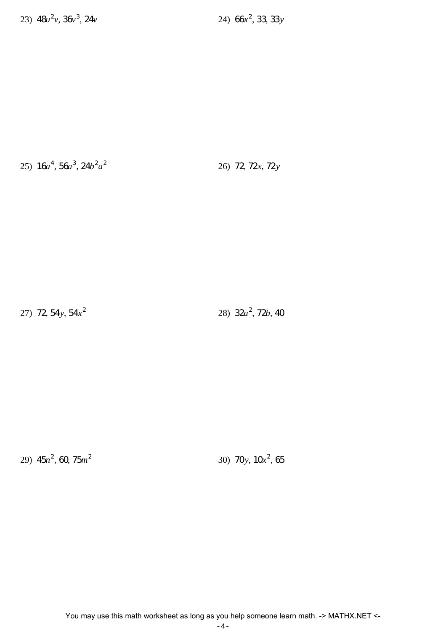24)  $66x^2$ , 33, 33y

25)  $16a^4$ ,  $56a^3$ ,  $24b^2a^2$ 

26) 72, 72x, 72y

27) 72, 54y, 54 $x^2$ 

28)  $32a^2$ , 72*b*, 40

29)  $45n^2$ , 60,  $75m^2$ 

30) 70y,  $10x^2$ , 65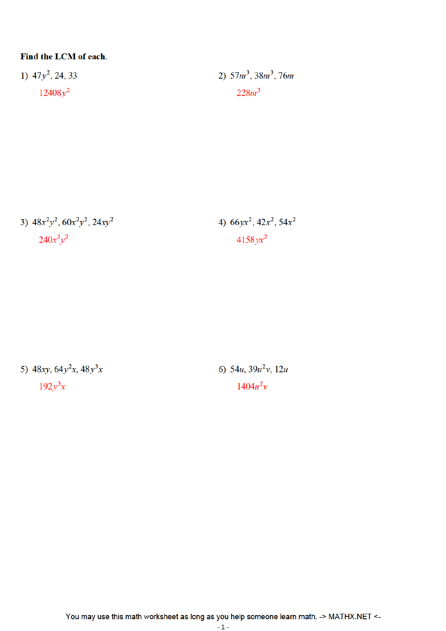## Find the LCM of each.

1)  $47y^2$ , 24, 33  $12408y^2$ 

2)  $57m^3$ ,  $38m^3$ ,  $76m$  $228m^3$ 

3)  $48x^2y^2$ ,  $60x^2y^2$ ,  $24xy^2$  $240x^2y^2$ 

4)  $66yx^2$ ,  $42x^2$ ,  $54x^2$  $4158$  yx<sup>2</sup>

5)  $48xy, 64y^2x, 48y^3x$  $192y^3x$ 

6)  $54u$ ,  $39u^2v$ ,  $12u$  $1404u^2v$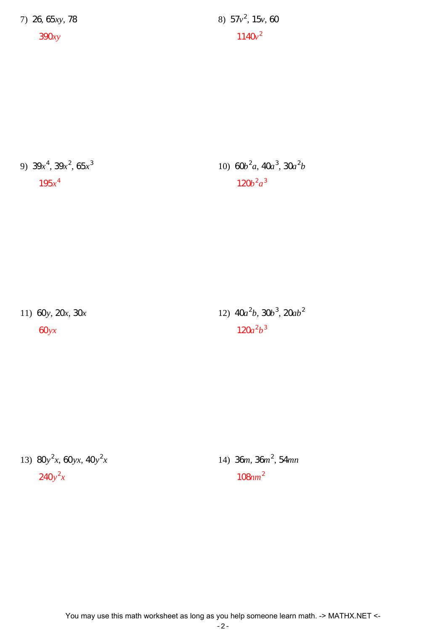7) 26, 65xy, 78

 $390xy$ 

8)  $57v^2$ ,  $15v$ , 60  $1140v^2$ 

9)  $39x^4$ ,  $39x^2$ ,  $65x^3$  $195x^4$ 

10)  $60b^2a$ ,  $40a^3$ ,  $30a^2b$  $120b^2a^3$ 

11) 60y, 20x, 30x

 $60yx$ 

12)  $40a^2b$ ,  $30b^3$ ,  $20ab^2$  $120a^2b^3$ 

13)  $80y^2x, 60yx, 40y^2x$  $240y^2x$ 

14) 36m, 36m<sup>2</sup>, 54mn  $108nm^2$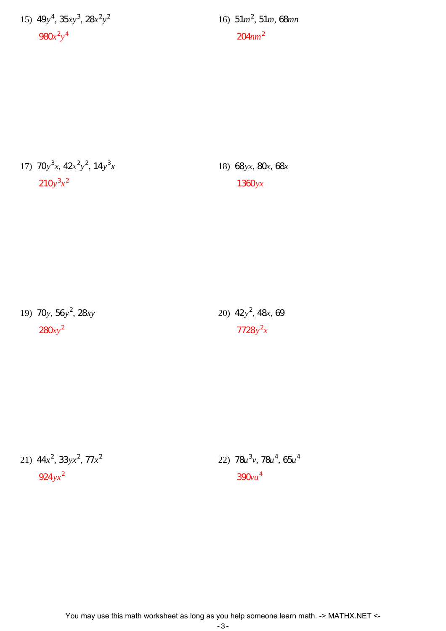15)  $49y^4$ ,  $35xy^3$ ,  $28x^2y^2$  $980x^2y^4$ 

16)  $51m^2$ ,  $51m$ ,  $68mn$  $204nm^2$ 

17)  $70y^3x$ ,  $42x^2y^2$ ,  $14y^3x$  $210y^3x^2$ 

18) 68 yx, 80x, 68x  $1360$ yx

19) 70y,  $56y^2$ ,  $28xy$  $280xy^2$ 

20)  $42y^2$ ,  $48x$ , 69  $7728y^2x$ 

21)  $44x^2$ ,  $33yx^2$ ,  $77x^2$  $924$  yx<sup>2</sup>

22)  $78u^3v$ ,  $78u^4$ ,  $65u^4$  $390vu<sup>4</sup>$